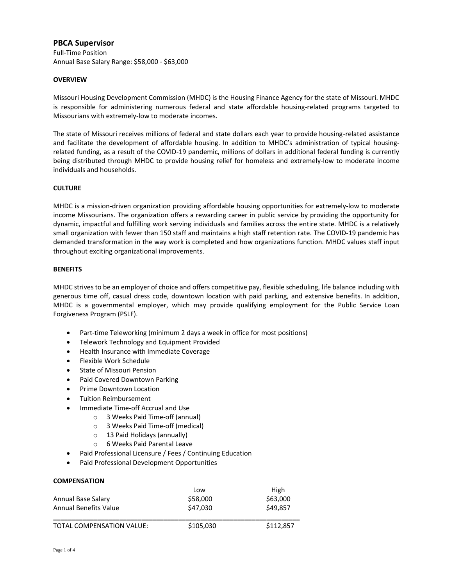# **PBCA Supervisor**

Full-Time Position Annual Base Salary Range: \$58,000 - \$63,000

### **OVERVIEW**

Missouri Housing Development Commission (MHDC) is the Housing Finance Agency for the state of Missouri. MHDC is responsible for administering numerous federal and state affordable housing-related programs targeted to Missourians with extremely-low to moderate incomes.

The state of Missouri receives millions of federal and state dollars each year to provide housing-related assistance and facilitate the development of affordable housing. In addition to MHDC's administration of typical housingrelated funding, as a result of the COVID-19 pandemic, millions of dollars in additional federal funding is currently being distributed through MHDC to provide housing relief for homeless and extremely-low to moderate income individuals and households.

#### **CULTURE**

MHDC is a mission-driven organization providing affordable housing opportunities for extremely-low to moderate income Missourians. The organization offers a rewarding career in public service by providing the opportunity for dynamic, impactful and fulfilling work serving individuals and families across the entire state. MHDC is a relatively small organization with fewer than 150 staff and maintains a high staff retention rate. The COVID-19 pandemic has demanded transformation in the way work is completed and how organizations function. MHDC values staff input throughout exciting organizational improvements.

#### **BENEFITS**

MHDC strives to be an employer of choice and offers competitive pay, flexible scheduling, life balance including with generous time off, casual dress code, downtown location with paid parking, and extensive benefits. In addition, MHDC is a governmental employer, which may provide qualifying employment for the Public Service Loan Forgiveness Program (PSLF).

- Part-time Teleworking (minimum 2 days a week in office for most positions)
- Telework Technology and Equipment Provided
- Health Insurance with Immediate Coverage
- Flexible Work Schedule
- State of Missouri Pension
- Paid Covered Downtown Parking
- Prime Downtown Location
- **•** Tuition Reimbursement
- Immediate Time-off Accrual and Use
	- o 3 Weeks Paid Time-off (annual)
	- o 3 Weeks Paid Time-off (medical)
	- o 13 Paid Holidays (annually)
	- o 6 Weeks Paid Parental Leave
- Paid Professional Licensure / Fees / Continuing Education
- Paid Professional Development Opportunities

#### **COMPENSATION**

|                                  | Low       | High      |
|----------------------------------|-----------|-----------|
| Annual Base Salary               | \$58,000  | \$63,000  |
| <b>Annual Benefits Value</b>     | \$47.030  | \$49.857  |
| <b>TOTAL COMPENSATION VALUE:</b> | \$105,030 | \$112,857 |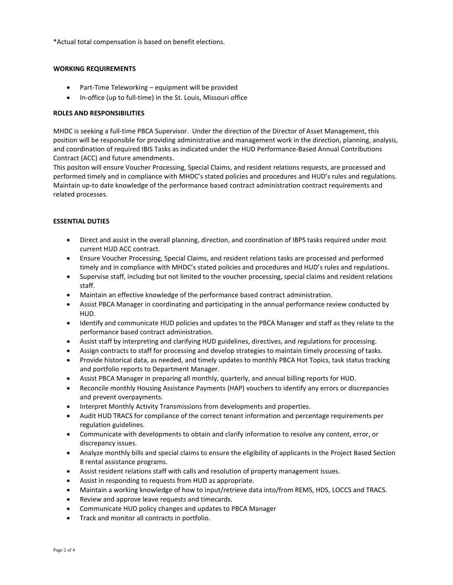\*Actual total compensation is based on benefit elections.

### **WORKING REQUIREMENTS**

- Part-Time Teleworking equipment will be provided
- In-office (up to full-time) in the St. Louis, Missouri office

#### **ROLES AND RESPONSIBILITIES**

MHDC is seeking a full-time PBCA Supervisor. Under the direction of the Director of Asset Management, this position will be responsible for providing administrative and management work in the direction, planning, analysis, and coordination of required IBIS Tasks as indicated under the HUD Performance-Based Annual Contributions Contract (ACC) and future amendments.

This positon will ensure Voucher Processing, Special Claims, and resident relations requests, are processed and performed timely and in compliance with MHDC's stated policies and procedures and HUD's rules and regulations. Maintain up-to date knowledge of the performance based contract administration contract requirements and related processes.

## **ESSENTIAL DUTIES**

- Direct and assist in the overall planning, direction, and coordination of IBPS tasks required under most current HUD ACC contract.
- Ensure Voucher Processing, Special Claims, and resident relations tasks are processed and performed timely and in compliance with MHDC's stated policies and procedures and HUD's rules and regulations.
- Supervise staff, including but not limited to the voucher processing, special claims and resident relations staff.
- Maintain an effective knowledge of the performance based contract administration.
- Assist PBCA Manager in coordinating and participating in the annual performance review conducted by HUD.
- Identify and communicate HUD policies and updates to the PBCA Manager and staff as they relate to the performance based contract administration.
- Assist staff by interpreting and clarifying HUD guidelines, directives, and regulations for processing.
- Assign contracts to staff for processing and develop strategies to maintain timely processing of tasks.
- Provide historical data, as needed, and timely updates to monthly PBCA Hot Topics, task status tracking and portfolio reports to Department Manager.
- Assist PBCA Manager in preparing all monthly, quarterly, and annual billing reports for HUD.
- Reconcile monthly Housing Assistance Payments (HAP) vouchers to identify any errors or discrepancies and prevent overpayments.
- **•** Interpret Monthly Activity Transmissions from developments and properties.
- Audit HUD TRACS for compliance of the correct tenant information and percentage requirements per regulation guidelines.
- Communicate with developments to obtain and clarify information to resolve any content, error, or discrepancy issues.
- Analyze monthly bills and special claims to ensure the eligibility of applicants in the Project Based Section 8 rental assistance programs.
- Assist resident relations staff with calls and resolution of property management issues.
- Assist in responding to requests from HUD as appropriate.
- Maintain a working knowledge of how to input/retrieve data into/from REMS, HDS, LOCCS and TRACS.
- Review and approve leave requests and timecards.
- Communicate HUD policy changes and updates to PBCA Manager
- Track and monitor all contracts in portfolio.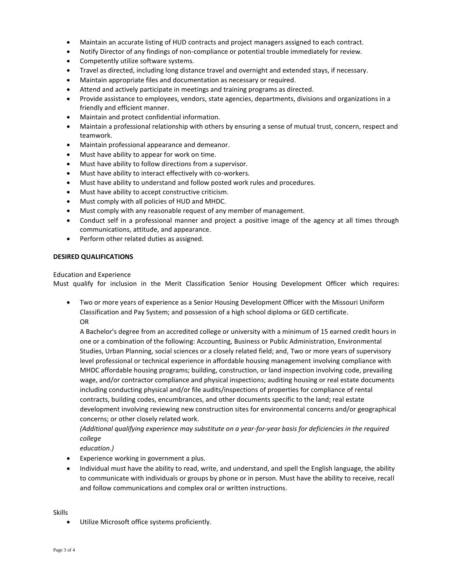- Maintain an accurate listing of HUD contracts and project managers assigned to each contract.
- Notify Director of any findings of non-compliance or potential trouble immediately for review.
- Competently utilize software systems.
- Travel as directed, including long distance travel and overnight and extended stays, if necessary.
- Maintain appropriate files and documentation as necessary or required.
- Attend and actively participate in meetings and training programs as directed.
- Provide assistance to employees, vendors, state agencies, departments, divisions and organizations in a friendly and efficient manner.
- Maintain and protect confidential information.
- Maintain a professional relationship with others by ensuring a sense of mutual trust, concern, respect and teamwork.
- Maintain professional appearance and demeanor.
- Must have ability to appear for work on time.
- Must have ability to follow directions from a supervisor.
- Must have ability to interact effectively with co-workers.
- Must have ability to understand and follow posted work rules and procedures.
- Must have ability to accept constructive criticism.
- Must comply with all policies of HUD and MHDC.
- Must comply with any reasonable request of any member of management.
- Conduct self in a professional manner and project a positive image of the agency at all times through communications, attitude, and appearance.
- Perform other related duties as assigned.

#### **DESIRED QUALIFICATIONS**

Education and Experience

Must qualify for inclusion in the Merit Classification Senior Housing Development Officer which requires:

 Two or more years of experience as a Senior Housing Development Officer with the Missouri Uniform Classification and Pay System; and possession of a high school diploma or GED certificate. OR

A Bachelor's degree from an accredited college or university with a minimum of 15 earned credit hours in one or a combination of the following: Accounting, Business or Public Administration, Environmental Studies, Urban Planning, social sciences or a closely related field; and, Two or more years of supervisory level professional or technical experience in affordable housing management involving compliance with MHDC affordable housing programs; building, construction, or land inspection involving code, prevailing wage, and/or contractor compliance and physical inspections; auditing housing or real estate documents including conducting physical and/or file audits/inspections of properties for compliance of rental contracts, building codes, encumbrances, and other documents specific to the land; real estate development involving reviewing new construction sites for environmental concerns and/or geographical concerns; or other closely related work.

*(Additional qualifying experience may substitute on a year-for-year basis for deficiencies in the required college*

*education.)*

- Experience working in government a plus.
- Individual must have the ability to read, write, and understand, and spell the English language, the ability to communicate with individuals or groups by phone or in person. Must have the ability to receive, recall and follow communications and complex oral or written instructions.

#### Skills

Utilize Microsoft office systems proficiently.